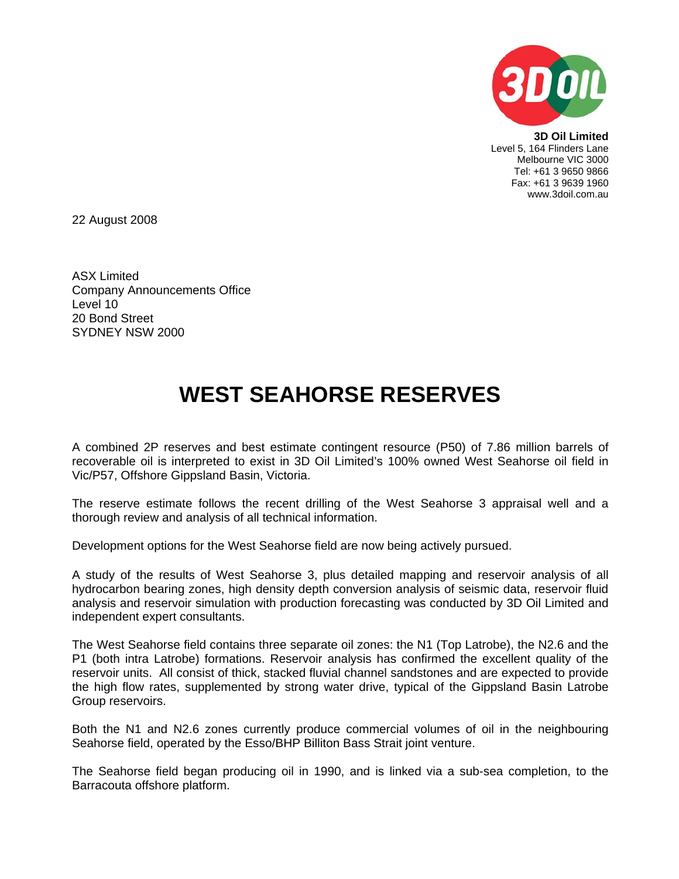

**3D Oil Limited**  Level 5, 164 Flinders Lane Melbourne VIC 3000 Tel: +61 3 9650 9866 Fax: +61 3 9639 1960 www.3doil.com.au

22 August 2008

ASX Limited Company Announcements Office Level 10 20 Bond Street SYDNEY NSW 2000

## **WEST SEAHORSE RESERVES**

A combined 2P reserves and best estimate contingent resource (P50) of 7.86 million barrels of recoverable oil is interpreted to exist in 3D Oil Limited's 100% owned West Seahorse oil field in Vic/P57, Offshore Gippsland Basin, Victoria.

The reserve estimate follows the recent drilling of the West Seahorse 3 appraisal well and a thorough review and analysis of all technical information.

Development options for the West Seahorse field are now being actively pursued.

A study of the results of West Seahorse 3, plus detailed mapping and reservoir analysis of all hydrocarbon bearing zones, high density depth conversion analysis of seismic data, reservoir fluid analysis and reservoir simulation with production forecasting was conducted by 3D Oil Limited and independent expert consultants.

The West Seahorse field contains three separate oil zones: the N1 (Top Latrobe), the N2.6 and the P1 (both intra Latrobe) formations. Reservoir analysis has confirmed the excellent quality of the reservoir units. All consist of thick, stacked fluvial channel sandstones and are expected to provide the high flow rates, supplemented by strong water drive, typical of the Gippsland Basin Latrobe Group reservoirs.

Both the N1 and N2.6 zones currently produce commercial volumes of oil in the neighbouring Seahorse field, operated by the Esso/BHP Billiton Bass Strait joint venture.

The Seahorse field began producing oil in 1990, and is linked via a sub-sea completion, to the Barracouta offshore platform.